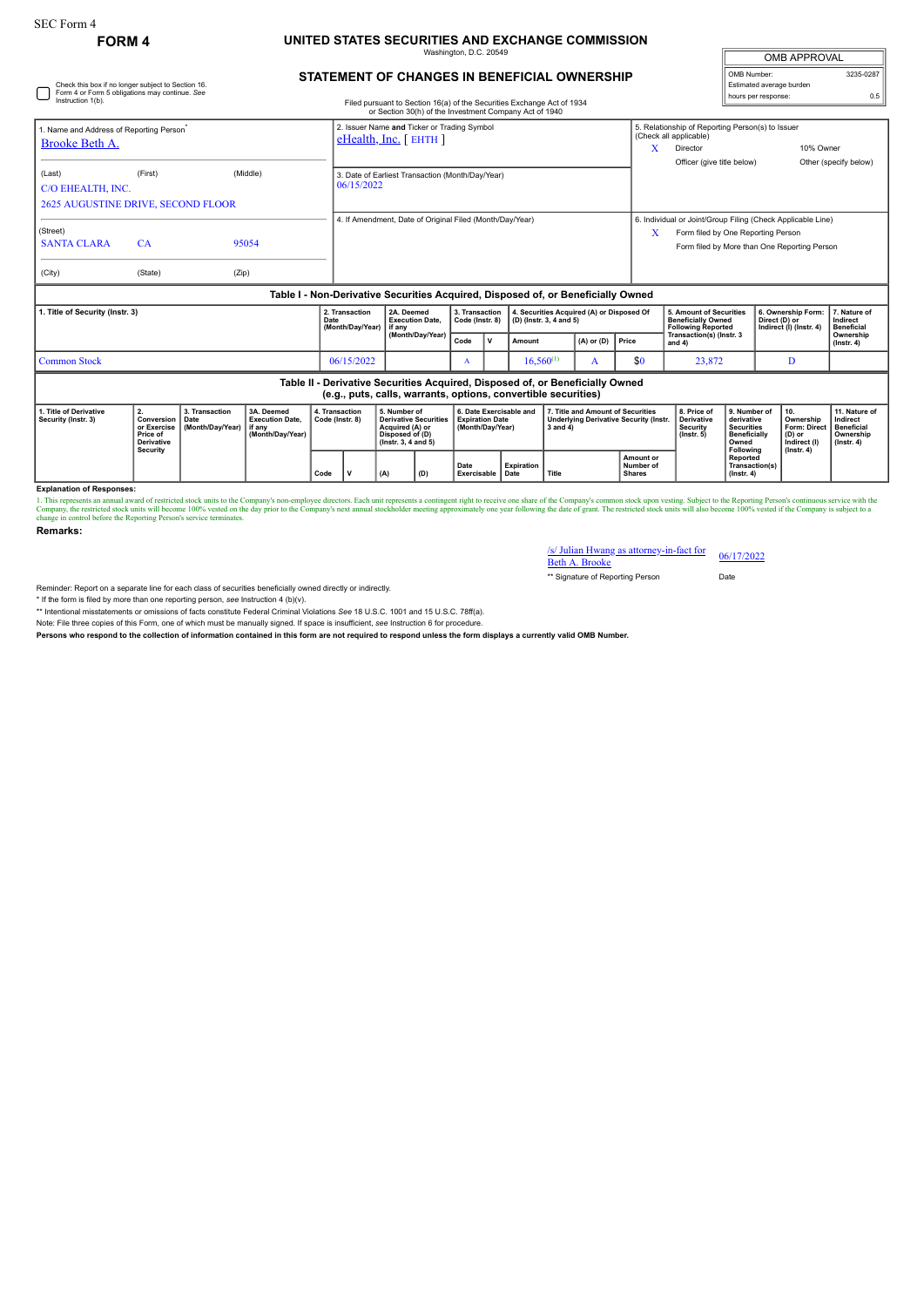Check this box if no longer subject to Section 16. Form 4 or Form 5 obligations may continue. *See*

## **FORM 4 UNITED STATES SECURITIES AND EXCHANGE COMMISSION** ington, D.C. 20

| <b>OMB APPROVAL</b>      |           |  |  |  |  |  |  |  |
|--------------------------|-----------|--|--|--|--|--|--|--|
| OMB Number:              | 3235-0287 |  |  |  |  |  |  |  |
| Estimated average burden |           |  |  |  |  |  |  |  |
| hours per response:      | 0.5       |  |  |  |  |  |  |  |

## **STATEMENT OF CHANGES IN BENEFICIAL OWNERSHIP**

| Instruction 1(b).                                                                                                                               |                                                                  |                                                        |                                                                                  |      |                                                                          |                      |                                                                                                              |                                   |                                                                       | Filed pursuant to Section 16(a) of the Securities Exchange Act of 1934<br>or Section 30(h) of the Investment Company Act of 1940 |                         |                                           |                                               |                                                                                                                                                   | <b>NUMBER IN TRANSPORTED</b>                                                                 |                                                                                       |                                               |                                                                                 |  |
|-------------------------------------------------------------------------------------------------------------------------------------------------|------------------------------------------------------------------|--------------------------------------------------------|----------------------------------------------------------------------------------|------|--------------------------------------------------------------------------|----------------------|--------------------------------------------------------------------------------------------------------------|-----------------------------------|-----------------------------------------------------------------------|----------------------------------------------------------------------------------------------------------------------------------|-------------------------|-------------------------------------------|-----------------------------------------------|---------------------------------------------------------------------------------------------------------------------------------------------------|----------------------------------------------------------------------------------------------|---------------------------------------------------------------------------------------|-----------------------------------------------|---------------------------------------------------------------------------------|--|
| 1. Name and Address of Reporting Person <sup>®</sup><br>Brooke Beth A.                                                                          |                                                                  |                                                        |                                                                                  |      | 2. Issuer Name and Ticker or Trading Symbol<br>$e$ Health, Inc. [ EHTH ] |                      |                                                                                                              |                                   |                                                                       |                                                                                                                                  |                         |                                           | x                                             | 5. Relationship of Reporting Person(s) to Issuer<br>(Check all applicable)<br>10% Owner<br>Director                                               |                                                                                              |                                                                                       |                                               |                                                                                 |  |
| (Last)<br>C/O EHEALTH, INC.<br><b>2625 AUGUSTINE DRIVE, SECOND FLOOR</b>                                                                        | (First)                                                          |                                                        | (Middle)                                                                         |      | 3. Date of Earliest Transaction (Month/Day/Year)<br>06/15/2022           |                      |                                                                                                              |                                   |                                                                       |                                                                                                                                  |                         |                                           |                                               | Officer (give title below)                                                                                                                        |                                                                                              |                                                                                       |                                               | Other (specify below)                                                           |  |
| (Street)<br><b>SANTA CLARA</b><br>(City)                                                                                                        | CA<br>(State)                                                    | (Zip)                                                  | 95054                                                                            |      | 4. If Amendment, Date of Original Filed (Month/Day/Year)                 |                      |                                                                                                              |                                   |                                                                       |                                                                                                                                  |                         |                                           | X                                             | 6. Individual or Joint/Group Filing (Check Applicable Line)<br>Form filed by One Reporting Person<br>Form filed by More than One Reporting Person |                                                                                              |                                                                                       |                                               |                                                                                 |  |
|                                                                                                                                                 |                                                                  |                                                        | Table I - Non-Derivative Securities Acquired, Disposed of, or Beneficially Owned |      |                                                                          |                      |                                                                                                              |                                   |                                                                       |                                                                                                                                  |                         |                                           |                                               |                                                                                                                                                   |                                                                                              |                                                                                       |                                               |                                                                                 |  |
| 1. Title of Security (Instr. 3)                                                                                                                 |                                                                  |                                                        |                                                                                  | Date | 2. Transaction<br>(Month/Day/Year)                                       | 2A. Deemed<br>if anv | <b>Execution Date,</b>                                                                                       | 3. Transaction<br>Code (Instr. 8) |                                                                       |                                                                                                                                  | (D) (Instr. 3, 4 and 5) | 4. Securities Acquired (A) or Disposed Of |                                               | 5. Amount of Securities<br><b>Beneficially Owned</b><br><b>Following Reported</b>                                                                 |                                                                                              | 6. Ownership Form:<br>Direct (D) or<br>Indirect (I) (Instr. 4)                        | 7. Nature of<br>Indirect<br><b>Beneficial</b> |                                                                                 |  |
|                                                                                                                                                 |                                                                  |                                                        |                                                                                  |      |                                                                          | (Month/Dav/Year)     |                                                                                                              | Code                              | l v                                                                   | Amount                                                                                                                           |                         | $(A)$ or $(D)$                            | Price                                         | Transaction(s) (Instr. 3<br>and $4)$                                                                                                              |                                                                                              |                                                                                       |                                               | Ownership<br>$($ lnstr. 4 $)$                                                   |  |
| <b>Common Stock</b>                                                                                                                             |                                                                  |                                                        |                                                                                  |      | 06/15/2022                                                               |                      |                                                                                                              | A                                 |                                                                       | $16.560^{(1)}$                                                                                                                   |                         | A                                         | \$0                                           | 23,872                                                                                                                                            |                                                                                              | D                                                                                     |                                               |                                                                                 |  |
| Table II - Derivative Securities Acquired, Disposed of, or Beneficially Owned<br>(e.g., puts, calls, warrants, options, convertible securities) |                                                                  |                                                        |                                                                                  |      |                                                                          |                      |                                                                                                              |                                   |                                                                       |                                                                                                                                  |                         |                                           |                                               |                                                                                                                                                   |                                                                                              |                                                                                       |                                               |                                                                                 |  |
| 1. Title of Derivative<br>Security (Instr. 3)                                                                                                   | 2.<br>Conversion<br>or Exercise<br>Price of<br><b>Derivative</b> | 3. Transaction<br>Date<br>(Month/Day/Year)<br>Security | 3A. Deemed<br><b>Execution Date.</b><br>if anv<br>(Month/Day/Year)               |      | 4. Transaction<br>Code (Instr. 8)                                        |                      | 5. Number of<br><b>Derivative Securities</b><br>Acquired (A) or<br>Disposed of (D)<br>$($ lnstr. 3, 4 and 5) |                                   | 6. Date Exercisable and<br><b>Expiration Date</b><br>(Month/Day/Year) |                                                                                                                                  |                         | 7. Title and Amount of Securities         | <b>Underlying Derivative Security (Instr.</b> | 8. Price of<br><b>Derivative</b><br>Security<br>$($ lnstr. 5 $)$                                                                                  | 9. Number of<br>derivative<br><b>Securities</b><br><b>Beneficially</b><br>Owned<br>Following | 10.<br>Ownership<br><b>Form: Direct</b><br>(D) or<br>Indirect (I)<br>$($ Instr. 4 $)$ |                                               | 11. Nature of<br>Indirect<br><b>Beneficial</b><br>Ownership<br>$($ Instr. 4 $)$ |  |
|                                                                                                                                                 |                                                                  |                                                        |                                                                                  | Code | (A)<br>(D)<br>v                                                          |                      |                                                                                                              | Date<br>Exercisable<br>Date       |                                                                       | <b>Expiration</b>                                                                                                                | Title                   |                                           | Amount or<br>Number of<br><b>Shares</b>       |                                                                                                                                                   | Reported<br>Transaction(s)<br>$($ lnstr $, 4)$                                               |                                                                                       |                                               |                                                                                 |  |

**Explanation of Responses:**

1. This represents an annual award of restricted stock units to the Company's non-employee directors. Each unit represents a contingent right to receive one share of the Company's common stock upon vesting. Subject to the

**Remarks:**

## $\frac{\sqrt{s}}{3}$  Julian Hwang as attorney-in-fact for 06/17/2022

\*\* Signature of Reporting Person Date

Reminder: Report on a separate line for each class of securities beneficially owned directly or indirectly.

\* If the form is filed by more than one reporting person, *see* Instruction 4 (b)(v).

\*\* Intentional misstatements or omissions of facts constitute Federal Criminal Violations *See* 18 U.S.C. 1001 and 15 U.S.C. 78ff(a). Note: File three copies of this Form, one of which must be manually signed. If space is insufficient, *see* Instruction 6 for procedure.

**Persons who respond to the collection of information contained in this form are not required to respond unless the form displays a currently valid OMB Number.**